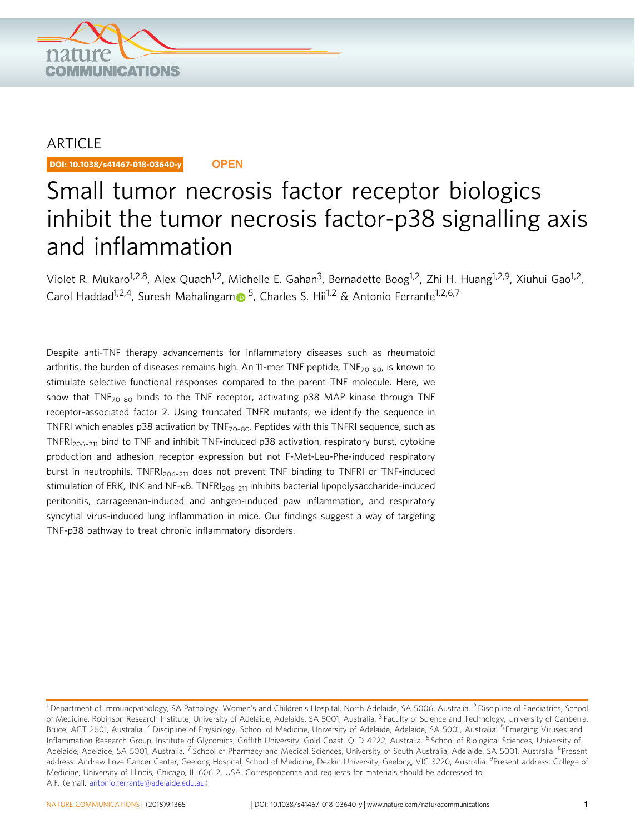

# ARTICLE

DOI: 10.1038/s41467-018-03640-y **OPEN**

# Small tumor necrosis factor receptor biologics inhibit the tumor necrosis factor-p38 signalling axis and inflammation

Violet R. Mukaro<sup>1,2,8</sup>, Alex Quach<sup>1,2</sup>, Michelle E. Gahan<sup>3</sup>, Bernadette Boog<sup>1,2</sup>, Zhi H. Huang<sup>1,2,9</sup>, Xiuhui Gao<sup>1,2</sup>, Carol Haddad<sup>1,2,4</sup>, Suresh Mahalinga[m](http://orcid.org/0000-0003-3141-8410) <sup>[5](http://orcid.org/0000-0003-3141-8410)</sup>, Charles S. Hii<sup>1,2</sup> & Antonio Ferrante<sup>1,2,6,7</sup>

Despite anti-TNF therapy advancements for inflammatory diseases such as rheumatoid arthritis, the burden of diseases remains high. An 11-mer TNF peptide,  $TNF_{70-80}$ , is known to stimulate selective functional responses compared to the parent TNF molecule. Here, we show that  $TNF_{70-80}$  binds to the TNF receptor, activating p38 MAP kinase through TNF receptor-associated factor 2. Using truncated TNFR mutants, we identify the sequence in TNFRI which enables p38 activation by  $\text{TNF}_{70-80}$ . Peptides with this TNFRI sequence, such as TNFR $I_{206-211}$  bind to TNF and inhibit TNF-induced p38 activation, respiratory burst, cytokine production and adhesion receptor expression but not F-Met-Leu-Phe-induced respiratory burst in neutrophils. TNFRI<sub>206-211</sub> does not prevent TNF binding to TNFRI or TNF-induced stimulation of ERK, JNK and NF-κB. TNFRI<sub>206-211</sub> inhibits bacterial lipopolysaccharide-induced peritonitis, carrageenan-induced and antigen-induced paw inflammation, and respiratory syncytial virus-induced lung inflammation in mice. Our findings suggest a way of targeting TNF-p38 pathway to treat chronic inflammatory disorders.

<sup>&</sup>lt;sup>1</sup> Department of Immunopathology, SA Pathology, Women's and Children's Hospital, North Adelaide, SA 5006, Australia. <sup>2</sup> Discipline of Paediatrics, School of Medicine, Robinson Research Institute, University of Adelaide, Adelaide, SA 5001, Australia. <sup>3</sup> Faculty of Science and Technology, University of Canberra, Bruce, ACT 2601, Australia. <sup>4</sup> Discipline of Physiology, School of Medicine, University of Adelaide, Adelaide, SA 5001, Australia. <sup>5</sup> Emerging Viruses and Inflammation Research Group, Institute of Glycomics, Griffith University, Gold Coast, QLD 4222, Australia. <sup>6</sup> School of Biological Sciences, University of Adelaide, Adelaide, SA 5001, Australia. <sup>7</sup> School of Pharmacy and Medical Sciences, University of South Australia, Adelaide, SA 5001, Australia. <sup>8</sup>Present address: Andrew Love Cancer Center, Geelong Hospital, School of Medicine, Deakin University, Geelong, VIC 3220, Australia. <sup>9</sup>Present address: College of Medicine, University of Illinois, Chicago, IL 60612, USA. Correspondence and requests for materials should be addressed to A.F. (email: [antonio.ferrante@adelaide.edu.au](mailto:antonio.ferrante@adelaide.edu.au))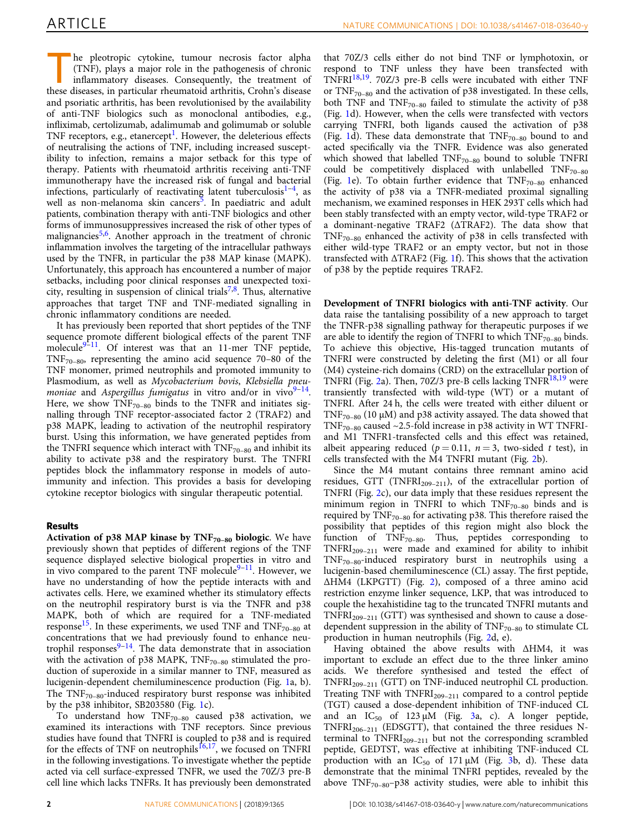T he pleotropic cytokine, tumour necrosis factor alpha (TNF), plays a major role in the pathogenesis of chronic inflammatory diseases. Consequently, the treatment of these diseases, in particular rheumatoid arthritis, Crohn's disease and psoriatic arthritis, has been revolutionised by the availability of anti-TNF biologics such as monoclonal antibodies, e.g., infliximab, certolizumab, adalimumab and golimumab or soluble TNF receptors, e.g., etanercept<sup>[1](#page-11-0)</sup>. However, the deleterious effects of neutralising the actions of TNF, including increased susceptibility to infection, remains a major setback for this type of therapy. Patients with rheumatoid arthritis receiving anti-TNF immunotherapy have the increased risk of fungal and bacterial infections, particularly of reactivating latent tuberculosis $1-4$  $1-4$  $1-4$ , as well as non-melanoma skin cancers<sup>[5](#page-11-0)</sup>. In paediatric and adult patients, combination therapy with anti-TNF biologics and other forms of immunosuppressives increased the risk of other types of malignancies<sup>[5,6](#page-11-0)</sup>. Another approach in the treatment of chronic inflammation involves the targeting of the intracellular pathways used by the TNFR, in particular the p38 MAP kinase (MAPK). Unfortunately, this approach has encountered a number of major setbacks, including poor clinical responses and unexpected toxi-city, resulting in suspension of clinical trials<sup>[7](#page-11-0),[8](#page-11-0)</sup>. Thus, alternative approaches that target TNF and TNF-mediated signalling in chronic inflammatory conditions are needed.

It has previously been reported that short peptides of the TNF sequence promote different biological effects of the parent TNF molecule<sup>[9](#page-11-0)-[11](#page-11-0)</sup>. Of interest was that an 11-mer TNF peptide,  $TNF_{70-80}$ , representing the amino acid sequence 70–80 of the TNF monomer, primed neutrophils and promoted immunity to Plasmodium, as well as Mycobacterium bovis, Klebsiella pneu-moniae and Aspergillus fumigatus in vitro and/or in vivo<sup>[9](#page-11-0)–[14](#page-12-0)</sup>. Here, we show  $TNF_{70-80}$  binds to the TNFR and initiates signalling through TNF receptor-associated factor 2 (TRAF2) and p38 MAPK, leading to activation of the neutrophil respiratory burst. Using this information, we have generated peptides from the TNFRI sequence which interact with  $TNF_{70-80}$  and inhibit its ability to activate p38 and the respiratory burst. The TNFRI peptides block the inflammatory response in models of autoimmunity and infection. This provides a basis for developing cytokine receptor biologics with singular therapeutic potential.

## Results

Activation of p38 MAP kinase by  $TNF_{70-80}$  biologic. We have previously shown that peptides of different regions of the TNF sequence displayed selective biological properties in vitro and in vivo compared to the parent TNF molecule $9-11$  $9-11$  $9-11$ . However, we have no understanding of how the peptide interacts with and activates cells. Here, we examined whether its stimulatory effects on the neutrophil respiratory burst is via the TNFR and p38 MAPK, both of which are required for a TNF-mediated response<sup>[15](#page-12-0)</sup>. In these experiments, we used TNF and  $TNF_{70-80}$  at concentrations that we had previously found to enhance neutrophil responses $9-14$  $9-14$  $9-14$ . The data demonstrate that in association with the activation of p38 MAPK,  $TNF_{70-80}$  stimulated the production of superoxide in a similar manner to TNF, measured as lucigenin-dependent chemiluminescence production (Fig. [1](#page-2-0)a, b). The  $TNF_{70-80}$ -induced respiratory burst response was inhibited by the p38 inhibitor, SB203580 (Fig. [1c](#page-2-0)).

To understand how  $TNF_{70-80}$  caused p38 activation, we examined its interactions with TNF receptors. Since previous studies have found that TNFRI is coupled to p38 and is required for the effects of TNF on neutrophils<sup>[16](#page-12-0),[17](#page-12-0)</sup>, we focused on TNFRI in the following investigations. To investigate whether the peptide acted via cell surface-expressed TNFR, we used the 70Z/3 pre-B cell line which lacks TNFRs. It has previously been demonstrated

that 70Z/3 cells either do not bind TNF or lymphotoxin, or respond to TNF unless they have been transfected with  $TNFRI<sup>18,19</sup>$  $TNFRI<sup>18,19</sup>$  $TNFRI<sup>18,19</sup>$ . 70Z/3 pre-B cells were incubated with either TNF or  $TNF_{70-80}$  and the activation of p38 investigated. In these cells, both TNF and  $TNF_{70-80}$  failed to stimulate the activity of p38 (Fig. [1](#page-2-0)d). However, when the cells were transfected with vectors carrying TNFRI, both ligands caused the activation of p38 (Fig. [1](#page-2-0)d). These data demonstrate that  $TNF_{70-80}$  bound to and acted specifically via the TNFR. Evidence was also generated which showed that labelled  $TNF_{70-80}$  bound to soluble TNFRI could be competitively displaced with unlabelled  $TNF_{70-80}$ (Fig. [1e](#page-2-0)). To obtain further evidence that  $TNF_{70-80}$  enhanced the activity of p38 via a TNFR-mediated proximal signalling mechanism, we examined responses in HEK 293T cells which had been stably transfected with an empty vector, wild-type TRAF2 or a dominant-negative TRAF2 (∆TRAF2). The data show that  $TNF_{70-80}$  enhanced the activity of p38 in cells transfected with either wild-type TRAF2 or an empty vector, but not in those transfected with ∆TRAF2 (Fig. [1](#page-2-0)f). This shows that the activation of p38 by the peptide requires TRAF2.

Development of TNFRI biologics with anti-TNF activity. Our data raise the tantalising possibility of a new approach to target the TNFR-p38 signalling pathway for therapeutic purposes if we are able to identify the region of TNFRI to which  $TNF_{70-80}$  binds. To achieve this objective, His-tagged truncation mutants of TNFRI were constructed by deleting the first (M1) or all four (M4) cysteine-rich domains (CRD) on the extracellular portion of TNFRI (Fig. [2](#page-3-0)a). Then, 70Z/3 pre-B cells lacking TNFR<sup>[18](#page-12-0),[19](#page-12-0)</sup> were transiently transfected with wild-type (WT) or a mutant of TNFRI. After 24 h, the cells were treated with either diluent or TNF<sub>70–80</sub> (10  $\mu$ M) and p38 activity assayed. The data showed that TNF<sub>70–80</sub> caused  $\sim$ 2.5-fold increase in p38 activity in WT TNFRIand M1 TNFR1-transfected cells and this effect was retained, albeit appearing reduced ( $p = 0.11$ ,  $n = 3$ , two-sided t test), in cells transfected with the M4 TNFRI mutant (Fig. [2b](#page-3-0)).

Since the M4 mutant contains three remnant amino acid residues, GTT (TNFRI<sub>209-211</sub>), of the extracellular portion of TNFRI (Fig. [2c](#page-3-0)), our data imply that these residues represent the minimum region in TNFRI to which  $TNF_{70-80}$  binds and is required by  $TNF_{70-80}$  for activating p38. This therefore raised the possibility that peptides of this region might also block the function of TNF<sub>70–80</sub>. Thus, peptides corresponding to TNFRI209–<sup>211</sup> were made and examined for ability to inhibit TNF70–80-induced respiratory burst in neutrophils using a lucigenin-based chemiluminescence (CL) assay. The first peptide, ∆HM4 (LKPGTT) (Fig. [2\)](#page-3-0), composed of a three amino acid restriction enzyme linker sequence, LKP, that was introduced to couple the hexahistidine tag to the truncated TNFRI mutants and  $TNFRI<sub>209-211</sub>$  (GTT) was synthesised and shown to cause a dosedependent suppression in the ability of  $TNF_{70-80}$  to stimulate CL production in human neutrophils (Fig. [2d](#page-3-0), e).

Having obtained the above results with ∆HM4, it was important to exclude an effect due to the three linker amino acids. We therefore synthesised and tested the effect of TNFRI<sub>209-211</sub> (GTT) on TNF-induced neutrophil CL production. Treating TNF with  $TNFRI<sub>209-211</sub>$  compared to a control peptide (TGT) caused a dose-dependent inhibition of TNF-induced CL and an  $IC_{50}$  of 123  $\mu$ M (Fig. [3a](#page-4-0), c). A longer peptide,  $TNFRI<sub>206–211</sub>$  (EDSGTT), that contained the three residues Nterminal to  $TNFRI_{209-211}$  but not the corresponding scrambled peptide, GEDTST, was effective at inhibiting TNF-induced CL production with an  $IC_{50}$  of 171  $\mu$ M (Fig. [3](#page-4-0)b, d). These data demonstrate that the minimal TNFRI peptides, revealed by the above  $TNF_{70-80}$ –p38 activity studies, were able to inhibit this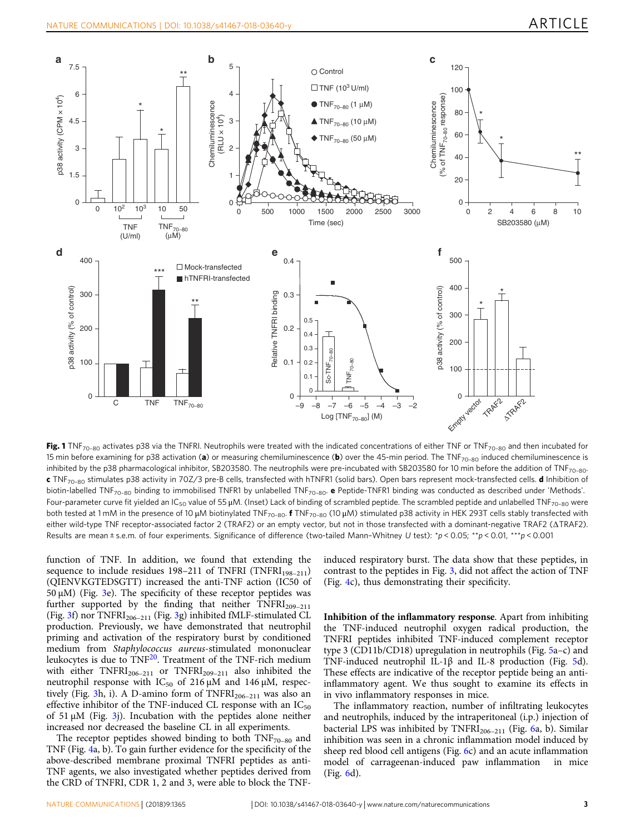<span id="page-2-0"></span>

Fig. 1 TNF<sub>70-80</sub> activates p38 via the TNFRI. Neutrophils were treated with the indicated concentrations of either TNF or TNF<sub>70-80</sub> and then incubated for 15 min before examining for p38 activation (a) or measuring chemiluminescence (b) over the 45-min period. The TNF<sub>70-80</sub> induced chemiluminescence is inhibited by the p38 pharmacological inhibitor, SB203580. The neutrophils were pre-incubated with SB203580 for 10 min before the addition of TNF<sub>70-80</sub>. c TNF<sub>70-80</sub> stimulates p38 activity in 70Z/3 pre-B cells, transfected with hTNFR1 (solid bars). Open bars represent mock-transfected cells. d Inhibition of biotin-labelled TNF<sub>70-80</sub> binding to immobilised TNFR1 by unlabelled TNF<sub>70-80</sub>. e Peptide-TNFR1 binding was conducted as described under 'Methods'. Four-parameter curve fit yielded an IC<sub>50</sub> value of 55 μM. (Inset) Lack of binding of scrambled peptide. The scrambled peptide and unlabelled TNF<sub>70-80</sub> were both tested at 1 mM in the presence of 10 μM biotinylated TNF<sub>70-80</sub>. f TNF<sub>70-80</sub> (10 μM) stimulated p38 activity in HEK 293T cells stably transfected with either wild-type TNF receptor-associated factor 2 (TRAF2) or an empty vector, but not in those transfected with a dominant-negative TRAF2 (∆TRAF2). Results are mean ± s.e.m. of four experiments. Significance of difference (two-tailed Mann-Whitney U test): \*p < 0.05; \*\*p < 0.01, \*\*\*p < 0.001

function of TNF. In addition, we found that extending the sequence to include residues 198–211 of TNFRI (TNFRI<sub>198–211</sub>) (QIENVKGTEDSGTT) increased the anti-TNF action (IC50 of 50 μM) (Fig. [3](#page-4-0)e). The specificity of these receptor peptides was further supported by the finding that neither  $TNFRI<sub>209-211</sub>$ (Fig. [3](#page-4-0)f) nor TNFRI<sub>206-211</sub> (Fig. 3g) inhibited fMLF-stimulated CL production. Previously, we have demonstrated that neutrophil priming and activation of the respiratory burst by conditioned medium from Staphylococcus aureus-stimulated mononuclear leukocytes is due to  $\text{TNF}^{20}$  $\text{TNF}^{20}$  $\text{TNF}^{20}$ . Treatment of the TNF-rich medium with either  $TNFRI<sub>206-211</sub>$  or  $TNFRI<sub>209-211</sub>$  also inhibited the neutrophil response with IC<sub>50</sub> of 216 μM and 146 μM, respec-tively (Fig. [3h](#page-4-0), i). A D-amino form of  $TNFRI<sub>206-211</sub>$  was also an effective inhibitor of the TNF-induced CL response with an  $IC_{50}$ of 51 μM (Fig. [3j](#page-4-0)). Incubation with the peptides alone neither increased nor decreased the baseline CL in all experiments.

The receptor peptides showed binding to both  $TNF_{70-80}$  and TNF (Fig. [4](#page-5-0)a, b). To gain further evidence for the specificity of the above-described membrane proximal TNFRI peptides as anti-TNF agents, we also investigated whether peptides derived from the CRD of TNFRI, CDR 1, 2 and 3, were able to block the TNF- induced respiratory burst. The data show that these peptides, in contrast to the peptides in Fig. [3](#page-4-0), did not affect the action of TNF (Fig. [4](#page-5-0)c), thus demonstrating their specificity.

Inhibition of the inflammatory response. Apart from inhibiting the TNF-induced neutrophil oxygen radical production, the TNFRI peptides inhibited TNF-induced complement receptor type 3 (CD11b/CD18) upregulation in neutrophils (Fig. [5](#page-6-0)a–c) and TNF-induced neutrophil IL-1β and IL-8 production (Fig. [5](#page-6-0)d). These effects are indicative of the receptor peptide being an antiinflammatory agent. We thus sought to examine its effects in in vivo inflammatory responses in mice.

The inflammatory reaction, number of infiltrating leukocytes and neutrophils, induced by the intraperitoneal (i.p.) injection of bacterial LPS was inhibited by  $TNFRI<sub>206-211</sub>$  $TNFRI<sub>206-211</sub>$  $TNFRI<sub>206-211</sub>$  (Fig. 6a, b). Similar inhibition was seen in a chronic inflammation model induced by sheep red blood cell antigens (Fig. [6c](#page-7-0)) and an acute inflammation model of carrageenan-induced paw inflammation in mice (Fig. [6](#page-7-0)d).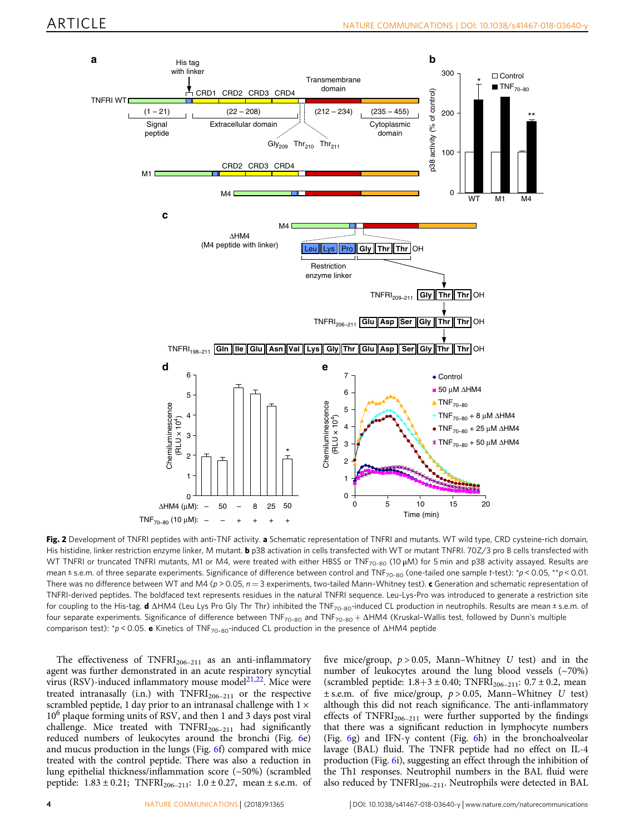<span id="page-3-0"></span>

Fig. 2 Development of TNFRI peptides with anti-TNF activity. a Schematic representation of TNFRI and mutants. WT wild type, CRD cysteine-rich domain, His histidine, linker restriction enzyme linker, M mutant. b p38 activation in cells transfected with WT or mutant TNFRI. 70Z/3 pro B cells transfected with WT TNFRI or truncated TNFRI mutants, M1 or M4, were treated with either HBSS or TNF<sub>70-80</sub> (10 μM) for 5 min and p38 activity assayed. Results are mean  $\pm$  s.e.m. of three separate experiments. Significance of difference between control and TNF<sub>70–80</sub> (one-tailed one sample t-test):  $\gamma$  < 0.05,  $\star$   $p$  < 0.01. There was no difference between WT and M4 ( $p > 0.05$ ,  $n = 3$  experiments, two-tailed Mann-Whitney test). c Generation and schematic representation of TNFRI-derived peptides. The boldfaced text represents residues in the natural TNFRI sequence. Leu-Lys-Pro was introduced to generate a restriction site for coupling to the His-tag. d ∆HM4 (Leu Lys Pro Gly Thr Thr) inhibited the TNF<sub>70-80</sub>-induced CL production in neutrophils. Results are mean ± s.e.m. of four separate experiments. Significance of difference between TNF<sub>70-80</sub> and TNF<sub>70-80</sub> + ∆HM4 (Kruskal-Wallis test, followed by Dunn's multiple comparison test): \*p < 0.05. e Kinetics of TNF<sub>70-80</sub>-induced CL production in the presence of ∆HM4 peptide

The effectiveness of  $TNFRI<sub>206-211</sub>$  as an anti-inflammatory agent was further demonstrated in an acute respiratory syncytial virus (RSV)-induced inflammatory mouse model $2^{1,22}$  $2^{1,22}$  $2^{1,22}$ . Mice were treated intranasally (i.n.) with  $TNFRI<sub>206-211</sub>$  or the respective scrambled peptide, 1 day prior to an intranasal challenge with  $1 \times$ 10<sup>6</sup> plaque forming units of RSV, and then 1 and 3 days post viral challenge. Mice treated with  $TNFRI<sub>206-211</sub>$  had significantly reduced numbers of leukocytes around the bronchi (Fig. [6](#page-7-0)e) and mucus production in the lungs (Fig. [6](#page-7-0)f) compared with mice treated with the control peptide. There was also a reduction in lung epithelial thickness/inflammation score (~50%) (scrambled peptide:  $1.83 \pm 0.21$ ; TNFRI<sub>206-211</sub>:  $1.0 \pm 0.27$ , mean  $\pm$  s.e.m. of

five mice/group,  $p > 0.05$ , Mann–Whitney U test) and in the number of leukocytes around the lung blood vessels (~70%) (scrambled peptide:  $1.8+3 \pm 0.40$ ; TNFRI<sub>206-211</sub>:  $0.7 \pm 0.2$ , mean  $\pm$  s.e.m. of five mice/group,  $p > 0.05$ , Mann–Whitney U test) although this did not reach significance. The anti-inflammatory effects of  $TNFRI<sub>206-211</sub>$  were further supported by the findings that there was a significant reduction in lymphocyte numbers (Fig. [6g](#page-7-0)) and IFN- $\gamma$  content (Fig. [6h](#page-7-0)) in the bronchoalveolar lavage (BAL) fluid. The TNFR peptide had no effect on IL-4 production (Fig. [6i](#page-7-0)), suggesting an effect through the inhibition of the Th1 responses. Neutrophil numbers in the BAL fluid were also reduced by  $TNFRI<sub>206–211</sub>$ . Neutrophils were detected in BAL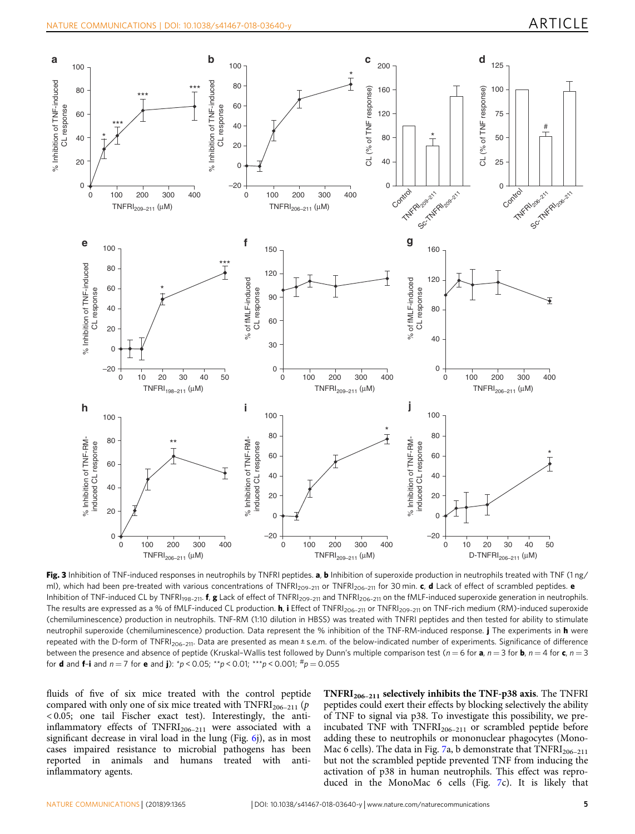<span id="page-4-0"></span>

Fig. 3 Inhibition of TNF-induced responses in neutrophils by TNFRI peptides. a, b Inhibition of superoxide production in neutrophils treated with TNF (1 ng/ ml), which had been pre-treated with various concentrations of TNFRI<sub>209-211</sub> or TNFRI<sub>206-211</sub> for 30 min. c, **d** Lack of effect of scrambled peptides. e Inhibition of TNF-induced CL by TNFRI<sub>198-211</sub>. f, g Lack of effect of TNFRI<sub>209-211</sub> and TNFRI<sub>206-211</sub> on the fMLF-induced superoxide generation in neutrophils. The results are expressed as a % of fMLF-induced CL production. **h**, i Effect of TNFRI<sub>206-211</sub> or TNFRI<sub>209-211</sub> on TNF-rich medium (RM)-induced superoxide (chemiluminescence) production in neutrophils. TNF-RM (1:10 dilution in HBSS) was treated with TNFRI peptides and then tested for ability to stimulate neutrophil superoxide (chemiluminescence) production. Data represent the % inhibition of the TNF-RM-induced response. *j* The experiments in **h** were repeated with the D-form of TNFRI<sub>206-211</sub>. Data are presented as mean ± s.e.m. of the below-indicated number of experiments. Significance of difference between the presence and absence of peptide (Kruskal-Wallis test followed by Dunn's multiple comparison test ( $n = 6$  for **a**,  $n = 3$  for **b**,  $n = 4$  for **c**,  $n = 3$ for **d** and **f-i** and  $n = 7$  for **e** and **j**):  $\binom{*}{p} < 0.05$ ;  $\binom{*}{p} < 0.01$ ;  $\binom{*}{p} < 0.001$ ;  $\binom{\text{#p}}{p} = 0.055$ 

fluids of five of six mice treated with the control peptide compared with only one of six mice treated with  $TNFRI<sub>206-211</sub>$  (p < 0.05; one tail Fischer exact test). Interestingly, the antiinflammatory effects of  $TNFRI<sub>206-211</sub>$  were associated with a significant decrease in viral load in the lung (Fig.  $6j$ ), as in most cases impaired resistance to microbial pathogens has been reported in animals and humans treated with antiinflammatory agents.

 $TNFRI<sub>206-211</sub>$  selectively inhibits the TNF-p38 axis. The TNFRI peptides could exert their effects by blocking selectively the ability of TNF to signal via p38. To investigate this possibility, we preincubated TNF with  $TNFRI<sub>206–211</sub>$  or scrambled peptide before adding these to neutrophils or mononuclear phagocytes (Mono-Mac 6 cells). The data in Fig. [7a](#page-8-0), b demonstrate that  $TNFRI<sub>206-211</sub>$ but not the scrambled peptide prevented TNF from inducing the activation of p38 in human neutrophils. This effect was reproduced in the MonoMac 6 cells (Fig. [7c](#page-8-0)). It is likely that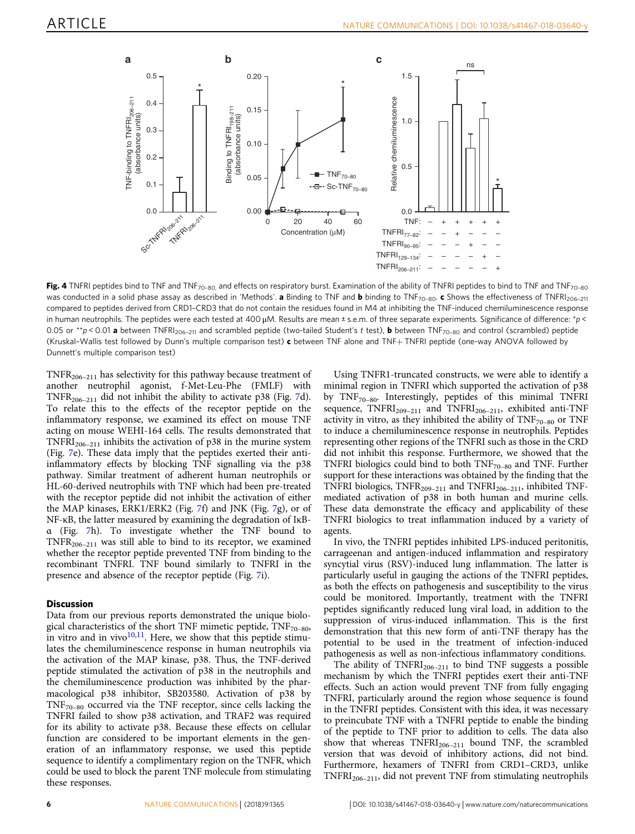<span id="page-5-0"></span>

Fig. 4 TNFRI peptides bind to TNF and TNF<sub>70–80</sub>, and effects on respiratory burst. Examination of the ability of TNFRI peptides to bind to TNF and TNF<sub>70–80</sub> was conducted in a solid phase assay as described in 'Methods'. **a** Binding to TNF and **b** binding to TNF<sub>70-80</sub>. c Shows the effectiveness of TNFRI<sub>206-211</sub> compared to peptides derived from CRD1–CRD3 that do not contain the residues found in M4 at inhibiting the TNF-induced chemiluminescence response in human neutrophils. The peptides were each tested at 400  $\mu$ M. Results are mean  $\pm$  s.e.m. of three separate experiments. Significance of difference: \*p < 0.05 or  $*p$  < 0.01 a between TNFRI<sub>206-211</sub> and scrambled peptide (two-tailed Student's t test), **b** between TNF<sub>70-80</sub> and control (scrambled) peptide (Kruskal–Wallis test followed by Dunn's multiple comparison test) c between TNF alone and TNF+ TNFRI peptide (one-way ANOVA followed by Dunnett's multiple comparison test)

TNFR206–<sup>211</sup> has selectivity for this pathway because treatment of another neutrophil agonist, f-Met-Leu-Phe (FMLF) with TNFR<sub>206–211</sub> did not inhibit the ability to activate p38 (Fig. [7](#page-8-0)d). To relate this to the effects of the receptor peptide on the inflammatory response, we examined its effect on mouse TNF acting on mouse WEHI-164 cells. The results demonstrated that TNFRI<sub>206–211</sub> inhibits the activation of p38 in the murine system (Fig. [7e](#page-8-0)). These data imply that the peptides exerted their antiinflammatory effects by blocking TNF signalling via the p38 pathway. Similar treatment of adherent human neutrophils or HL-60-derived neutrophils with TNF which had been pre-treated with the receptor peptide did not inhibit the activation of either the MAP kinases, ERK1/ERK2 (Fig. [7](#page-8-0)f) and JNK (Fig. [7g](#page-8-0)), or of NF-κB, the latter measured by examining the degradation of IκBα (Fig. [7](#page-8-0)h). To investigate whether the TNF bound to TNFR206–<sup>211</sup> was still able to bind to its receptor, we examined whether the receptor peptide prevented TNF from binding to the recombinant TNFRI. TNF bound similarly to TNFRI in the presence and absence of the receptor peptide (Fig. [7](#page-8-0)i).

### **Discussion**

Data from our previous reports demonstrated the unique biological characteristics of the short TNF mimetic peptide,  $TNF_{70-80}$ , in vitro and in vivo $10,11$ . Here, we show that this peptide stimulates the chemiluminescence response in human neutrophils via the activation of the MAP kinase, p38. Thus, the TNF-derived peptide stimulated the activation of p38 in the neutrophils and the chemiluminescence production was inhibited by the pharmacological p38 inhibitor, SB203580. Activation of p38 by  $TNF_{70-80}$  occurred via the TNF receptor, since cells lacking the TNFRI failed to show p38 activation, and TRAF2 was required for its ability to activate p38. Because these effects on cellular function are considered to be important elements in the generation of an inflammatory response, we used this peptide sequence to identify a complimentary region on the TNFR, which could be used to block the parent TNF molecule from stimulating these responses.

Using TNFR1-truncated constructs, we were able to identify a minimal region in TNFRI which supported the activation of p38 by  $TNF_{70-80}$ . Interestingly, peptides of this minimal TNFRI sequence,  $TNFRI_{209-211}$  and  $TNFRI_{206-211}$ , exhibited anti-TNF activity in vitro, as they inhibited the ability of  $TNF_{70-80}$  or TNF to induce a chemiluminescence response in neutrophils. Peptides representing other regions of the TNFRI such as those in the CRD did not inhibit this response. Furthermore, we showed that the TNFRI biologics could bind to both  $TNF_{70-80}$  and TNF. Further support for these interactions was obtained by the finding that the TNFRI biologics, TNFR<sub>209-211</sub> and TNFRI<sub>206-211</sub>, inhibited TNFmediated activation of p38 in both human and murine cells. These data demonstrate the efficacy and applicability of these TNFRI biologics to treat inflammation induced by a variety of agents.

In vivo, the TNFRI peptides inhibited LPS-induced peritonitis, carrageenan and antigen-induced inflammation and respiratory syncytial virus (RSV)-induced lung inflammation. The latter is particularly useful in gauging the actions of the TNFRI peptides, as both the effects on pathogenesis and susceptibility to the virus could be monitored. Importantly, treatment with the TNFRI peptides significantly reduced lung viral load, in addition to the suppression of virus-induced inflammation. This is the first demonstration that this new form of anti-TNF therapy has the potential to be used in the treatment of infection-induced pathogenesis as well as non-infectious inflammatory conditions.

The ability of  $TNFRI<sub>206-211</sub>$  to bind TNF suggests a possible mechanism by which the TNFRI peptides exert their anti-TNF effects. Such an action would prevent TNF from fully engaging TNFRI, particularly around the region whose sequence is found in the TNFRI peptides. Consistent with this idea, it was necessary to preincubate TNF with a TNFRI peptide to enable the binding of the peptide to TNF prior to addition to cells. The data also show that whereas  $TNFRI<sub>206-211</sub>$  bound TNF, the scrambled version that was devoid of inhibitory actions, did not bind. Furthermore, hexamers of TNFRI from CRD1–CRD3, unlike  $TNFRI<sub>206–211</sub>$ , did not prevent TNF from stimulating neutrophils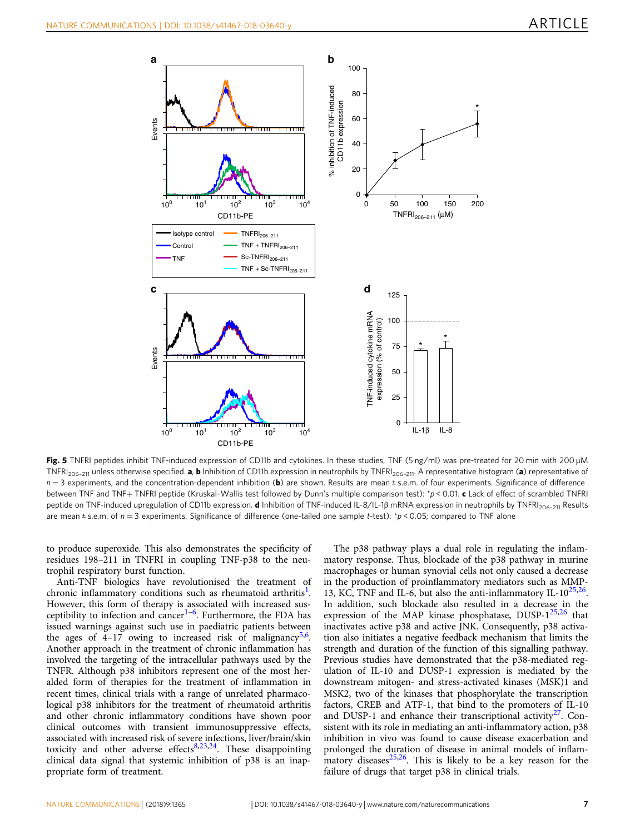<span id="page-6-0"></span>

Fig. 5 TNFRI peptides inhibit TNF-induced expression of CD11b and cytokines. In these studies, TNF (5 ng/ml) was pre-treated for 20 min with 200 μM TNFRI<sub>206-211</sub> unless otherwise specified. **a, b** Inhibition of CD11b expression in neutrophils by TNFRI<sub>206-211</sub>. A representative histogram (a) representative of  $n = 3$  experiments, and the concentration-dependent inhibition (b) are shown. Results are mean  $\pm$  s.e.m. of four experiments. Significance of difference between TNF and TNF+ TNFRI peptide (Kruskal-Wallis test followed by Dunn's multiple comparison test): \*p < 0.01. c Lack of effect of scrambled TNFRI peptide on TNF-induced upregulation of CD11b expression. d Inhibition of TNF-induced IL-8/IL-1β mRNA expression in neutrophils by TNFRI<sub>206-211</sub> Results are mean  $\pm$  s.e.m. of  $n = 3$  experiments. Significance of difference (one-tailed one sample t-test):  $\gamma$  < 0.05; compared to TNF alone

to produce superoxide. This also demonstrates the specificity of residues 198–211 in TNFRI in coupling TNF-p38 to the neutrophil respiratory burst function.

Anti-TNF biologics have revolutionised the treatment of chronic inflammatory conditions such as rheumatoid arthritis<sup>[1](#page-11-0)</sup>. However, this form of therapy is associated with increased sus-ceptibility to infection and cancer<sup>[1](#page-11-0)–[6](#page-11-0)</sup>. Furthermore, the FDA has issued warnings against such use in paediatric patients between the ages of  $4-17$  owing to increased risk of malignancy<sup>[5](#page-11-0),[6](#page-11-0)</sup>. Another approach in the treatment of chronic inflammation has involved the targeting of the intracellular pathways used by the TNFR. Although p38 inhibitors represent one of the most heralded form of therapies for the treatment of inflammation in recent times, clinical trials with a range of unrelated pharmacological p38 inhibitors for the treatment of rheumatoid arthritis and other chronic inflammatory conditions have shown poor clinical outcomes with transient immunosuppressive effects, associated with increased risk of severe infections, liver/brain/skin toxicity and other adverse effects $8,23,24$  $8,23,24$ . These disappointing clinical data signal that systemic inhibition of p38 is an inappropriate form of treatment.

The p38 pathway plays a dual role in regulating the inflammatory response. Thus, blockade of the p38 pathway in murine macrophages or human synovial cells not only caused a decrease in the production of proinflammatory mediators such as MMP-13, KC, TNF and IL-6, but also the anti-inflammatory IL-10<sup>[25,26](#page-12-0)</sup>. In addition, such blockade also resulted in a decrease in the expression of the MAP kinase phosphatase,  $DUSP-1^{25,26}$  $DUSP-1^{25,26}$  $DUSP-1^{25,26}$  $DUSP-1^{25,26}$  $DUSP-1^{25,26}$  that inactivates active p38 and active JNK. Consequently, p38 activation also initiates a negative feedback mechanism that limits the strength and duration of the function of this signalling pathway. Previous studies have demonstrated that the p38-mediated regulation of IL-10 and DUSP-1 expression is mediated by the downstream mitogen- and stress-activated kinases (MSK)1 and MSK2, two of the kinases that phosphorylate the transcription factors, CREB and ATF-1, that bind to the promoters of IL-10 and DUSP-1 and enhance their transcriptional activity<sup>[27](#page-12-0)</sup>. Consistent with its role in mediating an anti-inflammatory action, p38 inhibition in vivo was found to cause disease exacerbation and prolonged the duration of disease in animal models of inflam- $\frac{1}{2}$  matory diseases<sup>[25](#page-12-0),[26](#page-12-0)</sup>. This is likely to be a key reason for the failure of drugs that target p38 in clinical trials.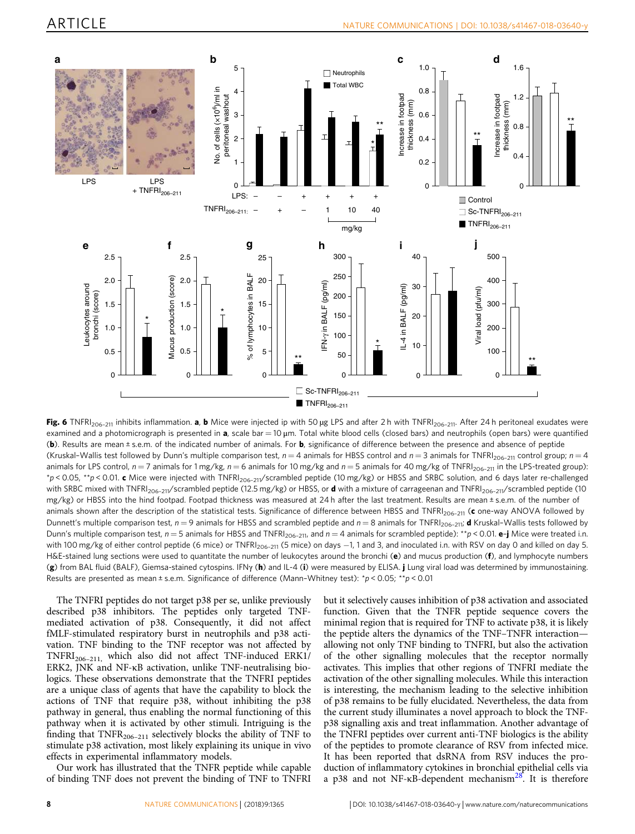<span id="page-7-0"></span>

Fig. 6 TNFRI<sub>206-211</sub> inhibits inflammation. a, b Mice were injected ip with 50 µg LPS and after 2 h with TNFRI<sub>206-211</sub>. After 24 h peritoneal exudates were examined and a photomicrograph is presented in  $a$ , scale bar = 10  $\mu$ m. Total white blood cells (closed bars) and neutrophils (open bars) were quantified (b). Results are mean ± s.e.m. of the indicated number of animals. For **b**, significance of difference between the presence and absence of peptide (Kruskal-Wallis test followed by Dunn's multiple comparison test,  $n = 4$  animals for HBSS control and  $n = 3$  animals for TNFRI<sub>206-211</sub> control group;  $n = 4$ animals for LPS control,  $n = 7$  animals for 1 mg/kg,  $n = 6$  animals for 10 mg/kg and  $n = 5$  animals for 40 mg/kg of TNFRI<sub>206-211</sub> in the LPS-treated group):  $p$  < 0.05,  $\star p$  < 0.01. c Mice were injected with TNFRI<sub>206-211</sub>/scrambled peptide (10 mg/kg) or HBSS and SRBC solution, and 6 days later re-challenged with SRBC mixed with TNFRI<sub>206-211</sub>/scrambled peptide (12.5 mg/kg) or HBSS, or **d** with a mixture of carrageenan and TNFRI<sub>206-211</sub>/scrambled peptide (10 mg/kg) or HBSS into the hind footpad. Footpad thickness was measured at 24 h after the last treatment. Results are mean ± s.e.m. of the number of animals shown after the description of the statistical tests. Significance of difference between HBSS and TNFRI<sub>206-211</sub> (c one-way ANOVA followed by Dunnett's multiple comparison test,  $n = 9$  animals for HBSS and scrambled peptide and  $n = 8$  animals for TNFRI<sub>206-211</sub>; **d** Kruskal-Wallis tests followed by Dunn's multiple comparison test,  $n = 5$  animals for HBSS and TNFRI<sub>206-211</sub>, and  $n = 4$  animals for scrambled peptide): \*\*p < 0.01. e-j Mice were treated i.n. with 100 mg/kg of either control peptide (6 mice) or TNFRI<sub>206-211</sub> (5 mice) on days -1, 1 and 3, and inoculated i.n. with RSV on day 0 and killed on day 5. H&E-stained lung sections were used to quantitate the number of leukocytes around the bronchi (e) and mucus production (f), and lymphocyte numbers (g) from BAL fluid (BALF), Giemsa-stained cytospins. IFNγ (h) and IL-4 (i) were measured by ELISA. j Lung viral load was determined by immunostaining. Results are presented as mean ± s.e.m. Significance of difference (Mann-Whitney test):  $\gamma p < 0.05$ ;  $\gamma p < 0.01$ 

The TNFRI peptides do not target p38 per se, unlike previously described p38 inhibitors. The peptides only targeted TNFmediated activation of p38. Consequently, it did not affect fMLF-stimulated respiratory burst in neutrophils and p38 activation. TNF binding to the TNF receptor was not affected by TNFRI206–211, which also did not affect TNF-induced ERK1/ ERK2, JNK and NF-κB activation, unlike TNF-neutralising biologics. These observations demonstrate that the TNFRI peptides are a unique class of agents that have the capability to block the actions of TNF that require p38, without inhibiting the p38 pathway in general, thus enabling the normal functioning of this pathway when it is activated by other stimuli. Intriguing is the finding that  $TNFR<sub>206–211</sub>$  selectively blocks the ability of TNF to stimulate p38 activation, most likely explaining its unique in vivo effects in experimental inflammatory models.

Our work has illustrated that the TNFR peptide while capable of binding TNF does not prevent the binding of TNF to TNFRI

but it selectively causes inhibition of p38 activation and associated function. Given that the TNFR peptide sequence covers the minimal region that is required for TNF to activate p38, it is likely the peptide alters the dynamics of the TNF–TNFR interaction allowing not only TNF binding to TNFRI, but also the activation of the other signalling molecules that the receptor normally activates. This implies that other regions of TNFRI mediate the activation of the other signalling molecules. While this interaction is interesting, the mechanism leading to the selective inhibition of p38 remains to be fully elucidated. Nevertheless, the data from the current study illuminates a novel approach to block the TNFp38 signalling axis and treat inflammation. Another advantage of the TNFRI peptides over current anti-TNF biologics is the ability of the peptides to promote clearance of RSV from infected mice. It has been reported that dsRNA from RSV induces the production of inflammatory cytokines in bronchial epithelial cells via a p38 and not NF- $\kappa$ B-dependent mechanism<sup>[28](#page-12-0)</sup>. It is therefore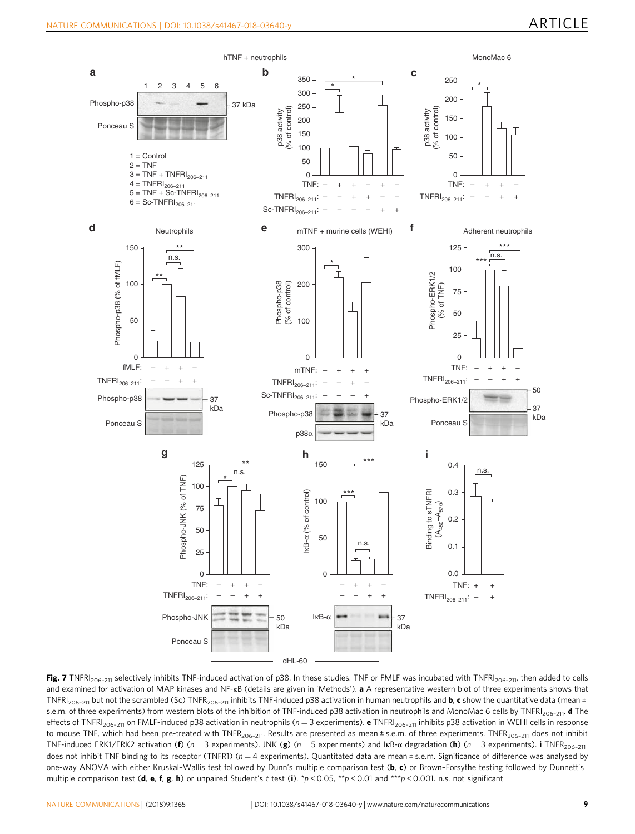<span id="page-8-0"></span>

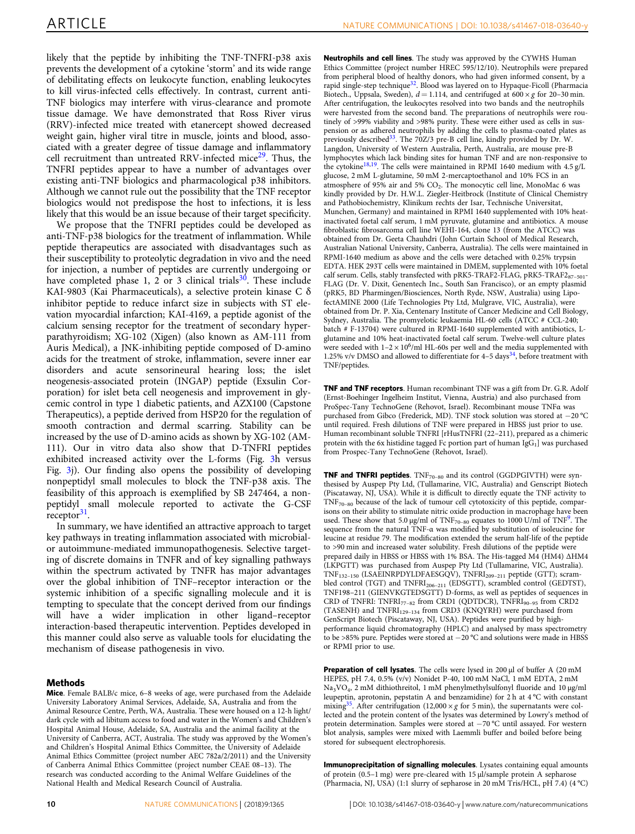likely that the peptide by inhibiting the TNF-TNFRI-p38 axis prevents the development of a cytokine 'storm' and its wide range of debilitating effects on leukocyte function, enabling leukocytes to kill virus-infected cells effectively. In contrast, current anti-TNF biologics may interfere with virus-clearance and promote tissue damage. We have demonstrated that Ross River virus (RRV)-infected mice treated with etanercept showed decreased weight gain, higher viral titre in muscle, joints and blood, associated with a greater degree of tissue damage and inflammatory cell recruitment than untreated RRV-infected mice<sup>[29](#page-12-0)</sup>. Thus, the TNFRI peptides appear to have a number of advantages over existing anti-TNF biologics and pharmacological p38 inhibitors. Although we cannot rule out the possibility that the TNF receptor biologics would not predispose the host to infections, it is less likely that this would be an issue because of their target specificity.

We propose that the TNFRI peptides could be developed as anti-TNF-p38 biologics for the treatment of inflammation. While peptide therapeutics are associated with disadvantages such as their susceptibility to proteolytic degradation in vivo and the need for injection, a number of peptides are currently undergoing or have completed phase 1, 2 or 3 clinical trials $30$ . These include KAI-9803 (Kai Pharmaceuticals), a selective protein kinase C δ inhibitor peptide to reduce infarct size in subjects with ST elevation myocardial infarction; KAI-4169, a peptide agonist of the calcium sensing receptor for the treatment of secondary hyperparathyroidism; XG-102 (Xigen) (also known as AM-111 from Auris Medical), a JNK-inhibiting peptide composed of D-amino acids for the treatment of stroke, inflammation, severe inner ear disorders and acute sensorineural hearing loss; the islet neogenesis-associated protein (INGAP) peptide (Exsulin Corporation) for islet beta cell neogenesis and improvement in glycemic control in type 1 diabetic patients, and AZX100 (Capstone Therapeutics), a peptide derived from HSP20 for the regulation of smooth contraction and dermal scarring. Stability can be increased by the use of D-amino acids as shown by XG-102 (AM-111). Our in vitro data also show that D-TNFRI peptides exhibited increased activity over the L-forms (Fig. [3h](#page-4-0) versus Fig. [3j](#page-4-0)). Our finding also opens the possibility of developing nonpeptidyl small molecules to block the TNF-p38 axis. The feasibility of this approach is exemplified by SB 247464, a nonpeptidyl small molecule reported to activate the G-CSF  $r$ eceptor<sup>[31](#page-12-0)</sup>.

In summary, we have identified an attractive approach to target key pathways in treating inflammation associated with microbialor autoimmune-mediated immunopathogenesis. Selective targeting of discrete domains in TNFR and of key signalling pathways within the spectrum activated by TNFR has major advantages over the global inhibition of TNF–receptor interaction or the systemic inhibition of a specific signalling molecule and it is tempting to speculate that the concept derived from our findings will have a wider implication in other ligand–receptor interaction-based therapeutic intervention. Peptides developed in this manner could also serve as valuable tools for elucidating the mechanism of disease pathogenesis in vivo.

#### Methods

Mice. Female BALB/c mice, 6–8 weeks of age, were purchased from the Adelaide University Laboratory Animal Services, Adelaide, SA, Australia and from the Animal Resource Centre, Perth, WA, Australia. These were housed on a 12-h light/ dark cycle with ad libitum access to food and water in the Women's and Children's Hospital Animal House, Adelaide, SA, Australia and the animal facility at the University of Canberra, ACT, Australia. The study was approved by the Women's and Children's Hospital Animal Ethics Committee, the University of Adelaide Animal Ethics Committee (project number AEC 782a/2/2011) and the University of Canberra Animal Ethics Committee (project number CEAE 08–13). The research was conducted according to the Animal Welfare Guidelines of the National Health and Medical Research Council of Australia.

Neutrophils and cell lines. The study was approved by the CYWHS Human Ethics Committee (project number HREC 595/12/10). Neutrophils were prepared from peripheral blood of healthy donors, who had given informed consent, by a rapid single-step technique<sup>[32](#page-12-0)</sup>. Blood was layered on to Hypaque-Ficoll (Pharmacia Biotech., Uppsala, Sweden),  $d = 1.114$ , and centrifuged at  $600 \times g$  for 20–30 min. After centrifugation, the leukocytes resolved into two bands and the neutrophils were harvested from the second band. The preparations of neutrophils were routinely of >99% viability and >98% purity. These were either used as cells in suspension or as adhered neutrophils by adding the cells to plasma-coated plates as previously described<sup>[33](#page-12-0)</sup>. The 70Z/3 pre-B cell line, kindly provided by Dr. W. Langdon, University of Western Australia, Perth, Australia, are mouse pre-B lymphocytes which lack binding sites for human TNF and are non-responsive to the cytokine<sup>[18,19](#page-12-0)</sup>. The cells were maintained in RPMI 1640 medium with  $4.5 g/L$ glucose, 2 mM L-glutamine, 50 mM 2-mercaptoethanol and 10% FCS in an atmosphere of 95% air and 5%  $CO<sub>2</sub>$ . The monocytic cell line, MonoMac 6 was kindly provided by Dr. H.W.L. Ziegler-Heitbrock (Institute of Clinical Chemistry and Pathobiochemistry, Klinikum rechts der Isar, Technische Universitat, Munchen, Germany) and maintained in RPMI 1640 supplemented with 10% heatinactivated foetal calf serum, 1 mM pyruvate, glutamine and antibiotics. A mouse fibroblastic fibrosarcoma cell line WEHI-164, clone 13 (from the ATCC) was obtained from Dr. Geeta Chauhdri (John Curtain School of Medical Research, Australian National University, Canberra, Australia). The cells were maintained in RPMI-1640 medium as above and the cells were detached with 0.25% trypsin EDTA. HEK 293T cells were maintained in DMEM, supplemented with 10% foetal calf serum. Cells, stably transfected with pRK5-TRAF2-FLAG, pRK5-TRAF2<sub>87-501</sub>-FLAG (Dr. V. Dixit, Genentech Inc., South San Francisco), or an empty plasmid (pRK5, BD Pharmingen/Biosciences, North Ryde, NSW, Australia) using LipofectAMINE 2000 (Life Technologies Pty Ltd, Mulgrave, VIC, Australia), were obtained from Dr. P. Xia, Centenary Institute of Cancer Medicine and Cell Biology, Sydney, Australia. The promyelotic leukaemia HL-60 cells (ATCC # CCL-240; batch # F-13704) were cultured in RPMI-1640 supplemented with antibiotics, Lglutamine and 10% heat-inactivated foetal calf serum. Twelve-well culture plates were seeded with  $1-2 \times 10^6$ /ml HL-60s per well and the media supplemented with 1.25% v/v DMSO and allowed to differentiate for  $4-5$  days<sup>[34](#page-12-0)</sup>, before treatment with TNF/peptides.

TNF and TNF receptors. Human recombinant TNF was a gift from Dr. G.R. Adolf (Ernst-Boehinger Ingelheim Institut, Vienna, Austria) and also purchased from ProSpec-Tany TechnoGene (Rehovot, Israel). Recombinant mouse TNFα was purchased from Gibco (Frederick, MD). TNF stock solution was stored at −20 °C until required. Fresh dilutions of TNF were prepared in HBSS just prior to use. Human recombinant soluble TNFRI [rHusTNFRI (22–211), prepared as a chimeric protein with the 6x histidine tagged Fc portion part of human  $\text{IgG}_1$ ] was purchased from Prospec-Tany TechnoGene (Rehovot, Israel).

**TNF and TNFRI peptides**.  $TNF_{70-80}$  and its control (GGDPGIVTH) were synthesised by Auspep Pty Ltd, (Tullamarine, VIC, Australia) and Genscript Biotech (Piscataway, NJ, USA). While it is difficult to directly equate the TNF activity to TNF70–<sup>80</sup> because of the lack of tumour cell cytotoxicity of this peptide, comparisons on their ability to stimulate nitric oxide production in macrophage have been used. These show that 5.0 μg/ml of TNF<sub>70-80</sub> equates to 1000 U/ml of TNF<sup>[9](#page-11-0)</sup>. The sequence from the natural TNF-α was modified by substitution of isoleucine for leucine at residue 79. The modification extended the serum half-life of the peptide to >90 min and increased water solubility. Fresh dilutions of the peptide were prepared daily in HBSS or HBSS with 1% BSA. The His-tagged M4 (HM4) ∆HM4 (LKPGTT) was purchased from Auspep Pty Ltd (Tullamarine, VIC, Australia). TNF<sub>132-150</sub> (LSAEINRPDYLDFAESGQV), TNFRI<sub>209-211</sub> peptide (GTT); scrambled control (TGT) and TNFRI<sub>206-211</sub> (EDSGTT), scrambled control (GEDTST), TNF198–211 (GIENVKGTEDSGTT) D-forms, as well as peptides of sequences in CRD of TNFRI: TNFRI<sub>77-82</sub> from CRD1 (QDTDCR), TNFRI<sub>90-95</sub> from CRD2 (TASENH) and TNFRI<sub>129-134</sub> from CRD3 (KNQYRH) were purchased from GenScript Biotech (Piscataway, NJ, USA). Peptides were purified by highperformance liquid chromatography (HPLC) and analysed by mass spectrometry to be >85% pure. Peptides were stored at −20 °C and solutions were made in HBSS or RPMI prior to use.

Preparation of cell lysates. The cells were lysed in 200 μl of buffer A (20 mM HEPES, pH 7.4, 0.5% (v/v) Nonidet P-40, 100 mM NaCl, 1 mM EDTA, 2 mM Na3VO<sup>4</sup> , 2 mM dithiothreitol, 1 mM phenylmethylsulfonyl fluoride and 10 μg/ml leupeptin, aprotonin, pepstatin A and benzamidine) for 2 h at 4 °C with constant mixing<sup>[35](#page-12-0)</sup>. After centrifugation (12,000 × g for 5 min), the supernatants were collected and the protein content of the lysates was determined by Lowry's method of protein determination. Samples were stored at −70 °C until assayed. For western blot analysis, samples were mixed with Laemmli buffer and boiled before being stored for subsequent electrophoresis.

Immunoprecipitation of signalling molecules. Lysates containing equal amounts of protein (0.5–1 mg) were pre-cleared with 15 μl/sample protein A sepharose (Pharmacia, NJ, USA) (1:1 slurry of sepharose in 20 mM Tris/HCL, pH 7.4) (4 °C)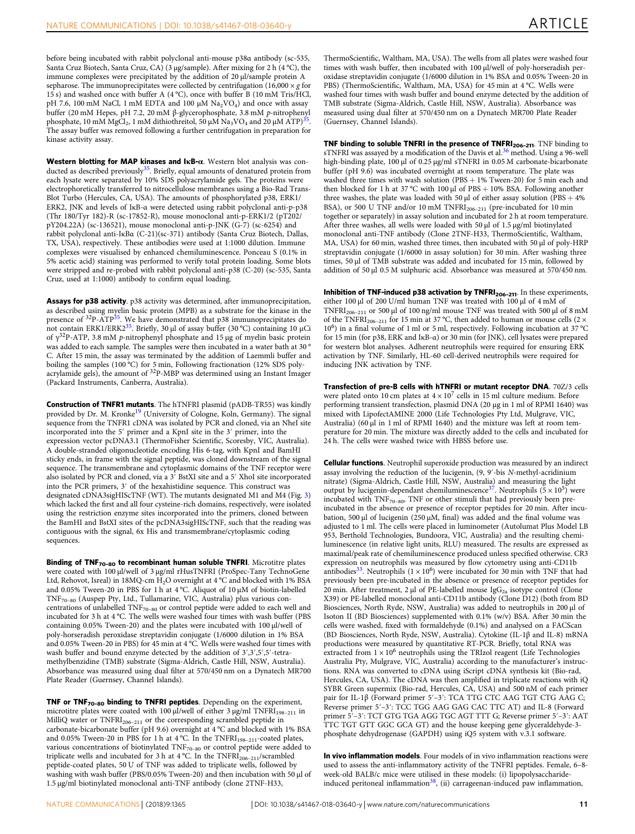before being incubated with rabbit polyclonal anti-mouse p38α antibody (sc-535, Santa Cruz Biotech, Santa Cruz, CA) (3 μg/sample). After mixing for 2 h (4 °C), the immune complexes were precipitated by the addition of 20 μl/sample protein A sepharose. The immunoprecipitates were collected by centrifugation  $(16,000 \times g$  for 15 s) and washed once with buffer A (4 °C), once with buffer B (10 mM Tris/HCl, pH 7.6, 100 mM NaCl, 1 mM EDTA and 100 μM  $\text{Na}_{2}\text{VO}_{4}$ ) and once with assay buffer (20 mM Hepes, pH 7.2, 20 mM β-glycerophosphate, 3.8 mM p-nitrophenyl phosphate, 10 mM MgCl<sub>2</sub>, 1 mM dithiothreitol, 50 μM Na<sub>3</sub>VO<sub>4</sub> and 20 μM ATP)<sup>[35](#page-12-0)</sup> . The assay buffer was removed following a further centrifugation in preparation for kinase activity assay.

Western blotting for MAP kinases and IκB-α. Western blot analysis was con-ducted as described previously<sup>[35](#page-12-0)</sup>. Briefly, equal amounts of denatured protein from each lysate were separated by 10% SDS polyacrylamide gels. The proteins were electrophoretically transferred to nitrocellulose membranes using a Bio-Rad Trans-Blot Turbo (Hercules, CA, USA). The amounts of phosphorylated p38, ERK1/ ERK2, JNK and levels of IκB-α were detected using rabbit polyclonal anti-p-p38 (Thr 180/Tyr 182)-R (sc-17852-R), mouse monoclonal anti-p-ERK1/2 (pT202/ pY204.22A) (sc-136521), mouse monoclonal anti-p-JNK (G-7) (sc-6254) and rabbit polyclonal anti-IκBα (C-21)(sc-371) antibody (Santa Cruz Biotech, Dallas, TX, USA), respectively. These antibodies were used at 1:1000 dilution. Immune complexes were visualised by enhanced chemiluminescence. Ponceau S (0.1% in 5% acetic acid) staining was performed to verify total protein loading. Some blots were stripped and re-probed with rabbit polyclonal anti-p38 (C-20) (sc-535, Santa Cruz, used at 1:1000) antibody to confirm equal loading.

Assays for p38 activity. p38 activity was determined, after immunoprecipitation, as described using myelin basic protein (MPB) as a substrate for the kinase in the presence of <sup>32</sup>P-ATP<sup>[35](#page-12-0)</sup>. We have demonstrated that p38 immunoprecipitates do not contain ERK1/ERK2 $^{35}$  $^{35}$  $^{35}$ . Briefly, 30 ul of assay buffer (30 °C) containing 10 uCi of  $γ^{32}P-ATP$ , 3.8 mM p-nitrophenyl phosphate and 15 μg of myelin basic protein was added to each sample. The samples were then incubated in a water bath at 30 ° C. After 15 min, the assay was terminated by the addition of Laemmli buffer and boiling the samples (100 °C) for 5 min, Following fractionation (12% SDS polyacrylamide gels), the amount of <sup>32</sup>P-MBP was determined using an Instant Imager (Packard Instruments, Canberra, Australia).

Construction of TNFR1 mutants. The hTNFRI plasmid (pADB-TR55) was kindly provided by Dr. M. Kronke<sup>[19](#page-12-0)</sup> (University of Cologne, Koln, Germany). The signal sequence from the TNFR1 cDNA was isolated by PCR and cloned, via an NheI site incorporated into the 5′ primer and a KpnI site in the 3′ primer, into the expression vector pcDNA3.1 (ThermoFisher Scientific, Scoresby, VIC, Australia). A double-stranded oligonucleotide encoding His 6-tag, with KpnI and BamHI sticky ends, in frame with the signal peptide, was cloned downstream of the signal sequence. The transmembrane and cytoplasmic domains of the TNF receptor were also isolated by PCR and cloned, via a 3′ BstXI site and a 5′ XhoI site incorporated into the PCR primers, 3′ of the hexahistidine sequence. This construct was designated cDNA3sigHIScTNF (WT). The mutants designated M1 and M4 (Fig. [3](#page-4-0)) which lacked the first and all four cysteine-rich domains, respectively, were isolated using the restriction enzyme sites incorporated into the primers, cloned between the BamHI and BstXI sites of the pcDNA3sigHIScTNF, such that the reading was contiguous with the signal, 6x His and transmembrane/cytoplasmic coding sequences.

Binding of TNF<sub>70-80</sub> to recombinant human soluble TNFRI. Microtitre plates were coated with 100 μl/well of 3 μg/ml rHusTNFRI (ProSpec-Tany TechnoGene Ltd, Rehovot, Isreal) in 18MQ-cm H<sub>2</sub>O overnight at 4 °C and blocked with 1% BSA and 0.05% Tween-20 in PBS for 1 h at 4 °C. Aliquot of 10 μM of biotin-labelled TNF70–<sup>80</sup> (Auspep Pty, Ltd., Tullamarine, VIC, Australia) plus various concentrations of unlabelled  $\text{TNF}_{70-80}$  or control peptide were added to each well and incubated for 3 h at 4 °C. The wells were washed four times with wash buffer (PBS containing 0.05% Tween-20) and the plates were incubated with 100 μl/well of poly-horseradish peroxidase streptavidin conjugate (1/6000 dilution in 1% BSA and 0.05% Tween-20 in PBS) for 45 min at 4 °C. Wells were washed four times with wash buffer and bound enzyme detected by the addition of  $3^{\prime},3^{\prime},5^{\prime}$ -tetramethylbenzidine (TMB) substrate (Sigma-Aldrich, Castle Hill, NSW, Australia). Absorbance was measured using dual filter at 570/450 nm on a Dynatech MR700 Plate Reader (Guernsey, Channel Islands).

TNF or TNF<sub>70-80</sub> binding to TNFRI peptides. Depending on the experiment, microtitre plates were coated with 100 μl/well of either 3 μg/ml TNFRI<sub>198-211</sub> in MilliQ water or  $TNFRI<sub>206–211</sub>$  or the corresponding scrambled peptide in carbonate-bicarbonate buffer (pH 9.6) overnight at 4 °C and blocked with 1% BSA and 0.05% Tween-20 in PBS for 1 h at 4 °C. In the  $\text{TNFRI}_{198-211}\text{-coated plates},$ various concentrations of biotinylated TNF<sub>70-80</sub> or control peptide were added to triplicate wells and incubated for 3 h at  $4^{\circ}$ C. In the TNFRI<sub>206–211</sub>/scrambled peptide-coated plates, 50 U of TNF was added to triplicate wells, followed by washing with wash buffer (PBS/0.05% Tween-20) and then incubation with 50 μl of 1.5 μg/ml biotinylated monoclonal anti-TNF antibody (clone 2TNF-H33,

ThermoScientific, Waltham, MA, USA). The wells from all plates were washed four times with wash buffer, then incubated with 100 μl/well of poly-horseradish peroxidase streptavidin conjugate (1/6000 dilution in 1% BSA and 0.05% Tween-20 in PBS) (ThermoScientific, Waltham, MA, USA) for 45 min at 4 °C. Wells were washed four times with wash buffer and bound enzyme detected by the addition of TMB substrate (Sigma-Aldrich, Castle Hill, NSW, Australia). Absorbance was measured using dual filter at 570/450 nm on a Dynatech MR700 Plate Reader (Guernsey, Channel Islands).

TNF binding to soluble TNFRI in the presence of TNFRI<sub>206-211</sub>. TNF binding to sTNFRI was assayed by a modification of the Davis et al.<sup>[36](#page-12-0)</sup> method. Using a 96-well high-binding plate, 100 μl of 0.25 μg/ml sTNFRI in 0.05 M carbonate-bicarbonate buffer (pH 9.6) was incubated overnight at room temperature. The plate was washed three times with wash solution (PBS + 1% Tween-20) for 5 min each and then blocked for 1 h at 37 °C with 100  $\mu$ l of PBS + 10% BSA. Following another three washes, the plate was loaded with 50  $\mu$ l of either assay solution (PBS + 4%) BSA), or 500 U TNF and/or  $10 \text{ mM TNFRI}_{206-211}$  (pre-incubated for  $10 \text{ min}$ together or separately) in assay solution and incubated for 2 h at room temperature. After three washes, all wells were loaded with 50 μl of 1.5 µg/ml biotinylated monoclonal anti-TNF antibody (Clone 2TNF-H33, ThermoScientific, Waltham, MA, USA) for 60 min, washed three times, then incubated with 50 μl of poly-HRP streptavidin conjugate (1/6000 in assay solution) for 30 min. After washing three times, 50 μl of TMB substrate was added and incubated for 15 min, followed by addition of 50 μl 0.5 M sulphuric acid. Absorbance was measured at 570/450 nm.

Inhibition of TNF-induced p38 activation by TNFRI<sub>206-211</sub>. In these experiments, either 100 µl of 200 U/ml human TNF was treated with 100 µl of 4 mM of TNFRI<sub>206-211</sub> or 500 µl of 100 ng/ml mouse TNF was treated with 500 µl of 8 mM of the TNFRI<sub>206–211</sub> for 15 min at 37 °C, then added to human or mouse cells (2  $\times$ 10<sup>6</sup>) in a final volume of 1 ml or 5 ml, respectively. Following incubation at 37 °C for 15 min (for p38, ERK and IκB-α) or 30 min (for JNK), cell lysates were prepared for western blot analyses. Adherent neutrophils were required for ensuring ERK activation by TNF. Similarly, HL-60 cell-derived neutrophils were required for inducing JNK activation by TNF.

Transfection of pre-B cells with hTNFRI or mutant receptor DNA. 70Z/3 cells were plated onto 10 cm plates at  $4 \times 10^7$  cells in 15 ml culture medium. Before performing transient transfection, plasmid DNA (20 μg in 1 ml of RPMI 1640) was mixed with LipofectAMINE 2000 (Life Technologies Pty Ltd, Mulgrave, VIC, Australia) (60 μl in 1 ml of RPMI 1640) and the mixture was left at room temperature for 20 min. The mixture was directly added to the cells and incubated for 24 h. The cells were washed twice with HBSS before use.

**Cellular functions**. Neutrophil superoxide production was measured by an indirect assay involving the reduction of the lucigenin, (9, 9′-bis N-methyl-acridinium nitrate) (Sigma-Aldrich, Castle Hill, NSW, Australia) and measuring the light output by lucigenin-dependant chemiluminescence<sup>[37](#page-12-0)</sup>. Neutrophils  $(5 \times 10^5)$  were incubated with  $TNF_{70-80}$ ,  $TNF$  or other stimuli that had previously been preincubated in the absence or presence of receptor peptides for 20 min. After incubation, 500 μl of lucigenin (250 μM, final) was added and the final volume was adjusted to 1 ml. The cells were placed in luminometer (Autolumat Plus Model LB 953, Berthold Technologies, Bundoora, VIC, Australia) and the resulting chemiluminescence (in relative light units, RLU) measured. The results are expressed as maximal/peak rate of chemiluminescence produced unless specified otherwise. CR3 expression on neutrophils was measured by flow cytometry using anti-CD11b antibodies<sup>[33](#page-12-0)</sup>. Neutrophils ( $1 \times 10^6$ ) were incubated for 30 min with TNF that had previously been pre-incubated in the absence or presence of receptor peptides for 20 min. After treatment, 2 μl of PE-labelled mouse  $\lg G_{2a}$  isotype control (Clone X39) or PE-labelled monoclonal anti-CD11b antibody (Clone D12) (both from BD Biosciences, North Ryde, NSW, Australia) was added to neutrophils in 200 μl of Isoton II (BD Biosciences) supplemented with 0.1% (w/v) BSA. After 30 min the cells were washed, fixed with formaldehyde (0.1%) and analysed on a FACScan (BD Biosciences, North Ryde, NSW, Australia). Cytokine (IL-1β and IL-8) mRNA productions were measured by quantitative RT-PCR. Briefly, total RNA was extracted from  $1 \times 10^6$  neutrophils using the TRIzol reagent (Life Technologies Australia Pty, Mulgrave, VIC, Australia) according to the manufacturer's instructions. RNA was converted to cDNA using iScript cDNA synthesis kit (Bio-rad, Hercules, CA, USA). The cDNA was then amplified in triplicate reactions with iQ SYBR Green supermix (Bio-rad, Hercules, CA, USA) and 500 nM of each primer pair for IL-1β (Forward primer 5′–3′: TCA TTG CTC AAG TGT CTG AAG C; Reverse primer 5′–3′: TCC TGG AAG GAG CAC TTC AT) and IL-8 (Forward primer 5′–3′: TCT GTG TGA AGG TGC AGT TTT G; Reverse primer 5′–3′: AAT TTC TGT GTT GGC GCA GT) and the house keeping gene glyceraldehyde-3 phosphate dehydrogenase (GAPDH) using iQ5 system with v.3.1 software.

In vivo inflammation models. Four models of in vivo inflammation reactions were used to assess the anti-inflammatory activity of the TNFRI peptides. Female, 6–8 week-old BALB/c mice were utilised in these models: (i) lipopolysaccharideinduced peritoneal inflammation $^{38}$  $^{38}$  $^{38}$ , (ii) carrageenan-induced paw inflammation,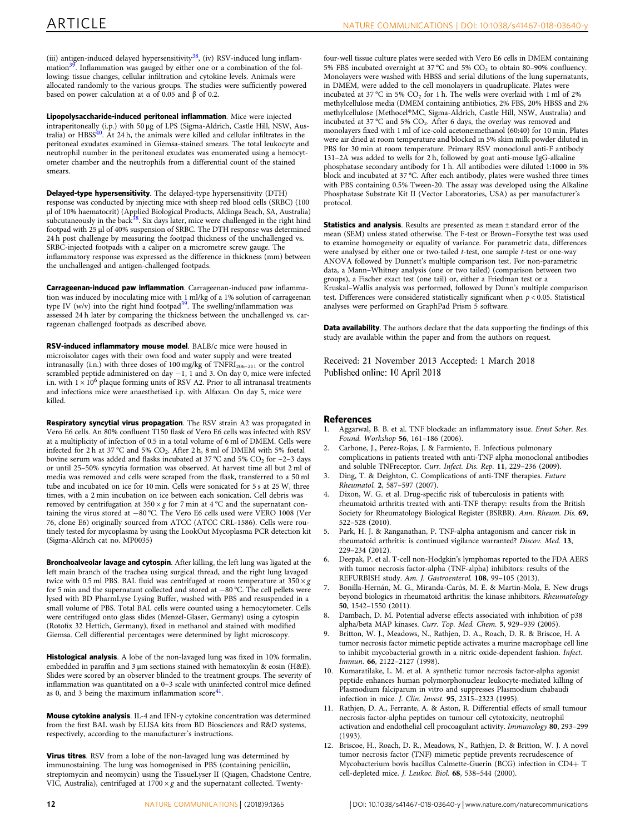<span id="page-11-0"></span>(iii) antigen-induced delayed hypersensitivity<sup>[38](#page-12-0)</sup>, (iv) RSV-induced lung inflam-mation<sup>[39](#page-12-0)</sup>. Inflammation was gauged by either one or a combination of the following: tissue changes, cellular infiltration and cytokine levels. Animals were allocated randomly to the various groups. The studies were sufficiently powered based on power calculation at α of 0.05 and  $β$  of 0.2.

Lipopolysaccharide-induced peritoneal inflammation. Mice were injected intraperitoneally (i.p.) with 50 µg of LPS (Sigma-Aldrich, Castle Hill, NSW, Australia) or  $HBS<sup>40</sup>$  $HBS<sup>40</sup>$  $HBS<sup>40</sup>$ . At 24 h, the animals were killed and cellular infiltrates in the peritoneal exudates examined in Giemsa-stained smears. The total leukocyte and neutrophil number in the peritoneal exudates was enumerated using a hemocytometer chamber and the neutrophils from a differential count of the stained smears.

Delayed-type hypersensitivity. The delayed-type hypersensitivity (DTH) response was conducted by injecting mice with sheep red blood cells (SRBC) (100 µl of 10% haematocrit) (Applied Biological Products, Aldinga Beach, SA, Australia)<br>subcutaneously in the back<sup>[38](#page-12-0)</sup>. Six days later, mice were challenged in the right hind footpad with 25 μl of 40% suspension of SRBC. The DTH response was determined 24 h post challenge by measuring the footpad thickness of the unchallenged vs. SRBC-injected footpads with a caliper on a micrometre screw gauge. The inflammatory response was expressed as the difference in thickness (mm) between the unchallenged and antigen-challenged footpads.

Carrageenan-induced paw inflammation. Carrageenan-induced paw inflammation was induced by inoculating mice with 1 ml/kg of a 1% solution of carrageenan type IV (w/v) into the right hind footpad<sup>[39](#page-12-0)</sup>. The swelling/inflammation was assessed 24 h later by comparing the thickness between the unchallenged vs. carrageenan challenged footpads as described above.

RSV-induced inflammatory mouse model. BALB/c mice were housed in microisolator cages with their own food and water supply and were treated intranasally (i.n.) with three doses of 100 mg/kg of  $T\overline{\text{NFR}}\text{I}_{206-211}$  or the control scrambled peptide administered on day −1, 1 and 3. On day 0, mice were infected i.n. with  $1 \times 10^6$  plaque forming units of RSV A2. Prior to all intranasal treatments and infections mice were anaesthetised i.p. with Alfaxan. On day 5, mice were killed.

Respiratory syncytial virus propagation. The RSV strain A2 was propagated in Vero E6 cells. An 80% confluent T150 flask of Vero E6 cells was infected with RSV at a multiplicity of infection of 0.5 in a total volume of 6 ml of DMEM. Cells were infected for 2 h at 37 °C and 5%  $CO_2$ . After 2 h, 8 ml of DMEM with 5% foetal bovine serum was added and flasks incubated at 37 °C and 5%  $CO_2$  for  $\sim$ 2–3 days or until 25–50% syncytia formation was observed. At harvest time all but 2 ml of media was removed and cells were scraped from the flask, transferred to a 50 ml tube and incubated on ice for 10 min. Cells were sonicated for 5 s at 25 W, three times, with a 2 min incubation on ice between each sonication. Cell debris was removed by centrifugation at  $350 \times g$  for 7 min at 4 °C and the supernatant containing the virus stored at −80 °C. The Vero E6 cells used were VERO 1008 (Ver 76, clone E6) originally sourced from ATCC (ATCC CRL-1586). Cells were routinely tested for mycoplasma by using the LookOut Mycoplasma PCR detection kit (Sigma-Aldrich cat no. MP0035)

Bronchoalveolar lavage and cytospin. After killing, the left lung was ligated at the left main branch of the trachea using surgical thread, and the right lung lavaged twice with 0.5 ml PBS. BAL fluid was centrifuged at room temperature at  $350 \times g$ for 5 min and the supernatant collected and stored at −80 °C. The cell pellets were lysed with BD PharmLyse Lysing Buffer, washed with PBS and resuspended in a small volume of PBS. Total BAL cells were counted using a hemocytometer. Cells were centrifuged onto glass slides (Menzel-Glaser, Germany) using a cytospin (Rotofix 32 Hettich, Germany), fixed in methanol and stained with modified Giemsa. Cell differential percentages were determined by light microscopy.

Histological analysis. A lobe of the non-lavaged lung was fixed in 10% formalin, embedded in paraffin and 3 μm sections stained with hematoxylin & eosin (H&E). Slides were scored by an observer blinded to the treatment groups. The severity of inflammation was quantitated on a 0–3 scale with uninfected control mice defined as 0, and 3 being the maximum inflammation  $score<sup>41</sup>$  $score<sup>41</sup>$  $score<sup>41</sup>$ .

Mouse cytokine analysis. IL-4 and IFN-γ cytokine concentration was determined from the first BAL wash by ELISA kits from BD Biosciences and R&D systems, respectively, according to the manufacturer's instructions.

Virus titres. RSV from a lobe of the non-lavaged lung was determined by immunostaining. The lung was homogenised in PBS (containing penicillin, streptomycin and neomycin) using the TissueLyser II (Qiagen, Chadstone Centre, VIC, Australia), centrifuged at  $1700 \times g$  and the supernatant collected. Twenty-

four-well tissue culture plates were seeded with Vero E6 cells in DMEM containing 5% FBS incubated overnight at 37 °C and 5% CO<sub>2</sub> to obtain 80-90% confluency. Monolayers were washed with HBSS and serial dilutions of the lung supernatants, in DMEM, were added to the cell monolayers in quadruplicate. Plates were incubated at 37 °C in 5%  $CO_2$  for 1 h. The wells were overlaid with 1 ml of 2% methylcellulose media (DMEM containing antibiotics, 2% FBS, 20% HBSS and 2% methylcellulose (Methocel®MC, Sigma-Aldrich, Castle Hill, NSW, Australia) and incubated at 37 °C and 5%  $CO<sub>2</sub>$ . After 6 days, the overlay was removed and monolayers fixed with 1 ml of ice-cold acetone:methanol (60:40) for 10 min. Plates were air dried at room temperature and blocked in 5% skim milk powder diluted in PBS for 30 min at room temperature. Primary RSV monoclonal anti-F antibody 131–2A was added to wells for 2 h, followed by goat anti-mouse IgG-alkaline phosphatase secondary antibody for 1 h. All antibodies were diluted 1:1000 in 5% block and incubated at 37 °C. After each antibody, plates were washed three times with PBS containing 0.5% Tween-20. The assay was developed using the Alkaline Phosphatase Substrate Kit II (Vector Laboratories, USA) as per manufacturer's protocol.

**Statistics and analysis**. Results are presented as mean  $\pm$  standard error of the mean (SEM) unless stated otherwise. The F-test or Brown–Forsythe test was used to examine homogeneity or equality of variance. For parametric data, differences were analysed by either one or two-tailed t-test, one sample t-test or one-way ANOVA followed by Dunnett's multiple comparison test. For non-parametric data, a Mann–Whitney analysis (one or two tailed) (comparison between two groups), a Fischer exact test (one tail) or, either a Friedman test or a Kruskal–Wallis analysis was performed, followed by Dunn's multiple comparison test. Differences were considered statistically significant when  $p < 0.05$ . Statistical analyses were performed on GraphPad Prism 5 software.

**Data availability**. The authors declare that the data supporting the findings of this study are available within the paper and from the authors on request.

Received: 21 November 2013 Accepted: 1 March 2018 Published online: 10 April 2018

#### References

- 1. Aggarwal, B. B. et al. TNF blockade: an inflammatory issue. Ernst Scher. Res. Found. Workshop 56, 161–186 (2006).
- 2. Carbone, J., Perez-Rojas, J. & Farmiento, E. Infectious pulmonary complications in patients treated with anti-TNF alpha monoclonal antibodies and soluble TNFreceptor. Curr. Infect. Dis. Rep. 11, 229–236 (2009).
- Ding, T. & Deighton, C. Complications of anti-TNF therapies. Future Rheumatol. 2, 587–597 (2007).
- Dixon, W. G. et al. Drug-specific risk of tuberculosis in patients with rheumatoid arthritis treated with anti-TNF therapy: results from the British Society for Rheumatology Biological Register (BSRBR). Ann. Rheum. Dis. 69, 522–528 (2010).
- 5. Park, H. J. & Ranganathan, P. TNF-alpha antagonism and cancer risk in rheumatoid arthritis: is continued vigilance warranted? Discov. Med. 13, 229–234 (2012).
- 6. Deepak, P. et al. T-cell non-Hodgkin's lymphomas reported to the FDA AERS with tumor necrosis factor-alpha (TNF-alpha) inhibitors: results of the REFURBISH study. Am. J. Gastroenterol. 108, 99–105 (2013).
- 7. Bonilla-Hernán, M. G., Miranda-Carús, M. E. & Martin-Mola, E. New drugs beyond biologics in rheumatoid arthritis: the kinase inhibitors. Rheumatology 50, 1542–1550 (2011).
- Dambach, D. M. Potential adverse effects associated with inhibition of p38 alpha/beta MAP kinases. Curr. Top. Med. Chem. 5, 929–939 (2005).
- 9. Britton, W. J., Meadows, N., Rathjen, D. A., Roach, D. R. & Briscoe, H. A tumor necrosis factor mimetic peptide activates a murine macrophage cell line to inhibit mycobacterial growth in a nitric oxide-dependent fashion. Infect. Immun. 66, 2122–2127 (1998).
- 10. Kumaratilake, L. M. et al. A synthetic tumor necrosis factor-alpha agonist peptide enhances human polymorphonuclear leukocyte-mediated killing of Plasmodium falciparum in vitro and suppresses Plasmodium chabaudi infection in mice. J. Clin. Invest. 95, 2315–2323 (1995).
- 11. Rathjen, D. A., Ferrante, A. & Aston, R. Differential effects of small tumour necrosis factor-alpha peptides on tumour cell cytotoxicity, neutrophil activation and endothelial cell procoagulant activity. Immunology 80, 293–299  $(1993)$
- 12. Briscoe, H., Roach, D. R., Meadows, N., Rathjen, D. & Britton, W. J. A novel tumor necrosis factor (TNF) mimetic peptide prevents recrudescence of Mycobacterium bovis bacillus Calmette-Guerin (BCG) infection in CD4+ T cell-depleted mice. J. Leukoc. Biol. 68, 538–544 (2000).